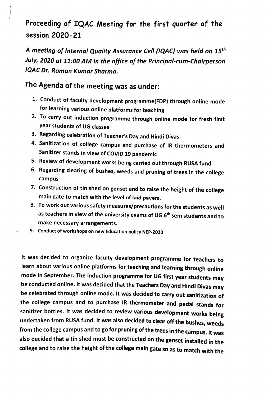## Proceeding of IQAC Meeting for the first quarter of the session 2020-21

A meeting of Internal Quality Assurance Cell (!QAC) was held on 15th July, 2020 at 11:00 AM in the office of the Principal-cum-Chairperson IQAC Dr. Raman Kumar Sharma.

## The Agenda of the meeting was as under:

- 1. Conduct of faculty development programme(FDP) through online mode for learning various online platforms for teaching
- 2. To carry out induction programme through online mode for fresh first year students of UG classes
- 3. Regarding celebration of Teacher's Day and Hindi Divas
- 4. Sanitization of college campus and purchase of IR thermometers and Sanitizer stands in view of COVID 19 pandemic
- 5. Review of development works being carried out through RUSA fund
- 6. Regarding clearing of bushes, weeds and pruning of trees in the college campus
- 7. Construction of tin shed on genset and to raise the height of the college main gate to match with the level of laid pavers.
- 8. To work out various safety measures/precautions for the students as well as teachers in view of the university exams of UG 6<sup>th</sup> sem students and to make necessary arrangements.
- 9. Conduct of workshops on new Education policy NEP-2020

It was decided to organize faculty development programme for teachers to learn about various online platforms for teaching and learning through online<br>mode in September. The induction programme for UG first year students may be conducted online. It was decided that the Teachers Day and Hindi Divas may be celebrated through online mode. It was decided to carry out sanitization of the college campus and to purchase IR thermometer and pedal stands for<br>sanitizer bottles. It was decided to review various development works being undertaken from RUSA fund. It was also decided to clear off the bushes, weeds from the college campus and to go for pruning of the trees in the campus. It was also decided that a tin shed must be constructed on the genset installed in the college and to raise the height of the college main gate so as to match with the